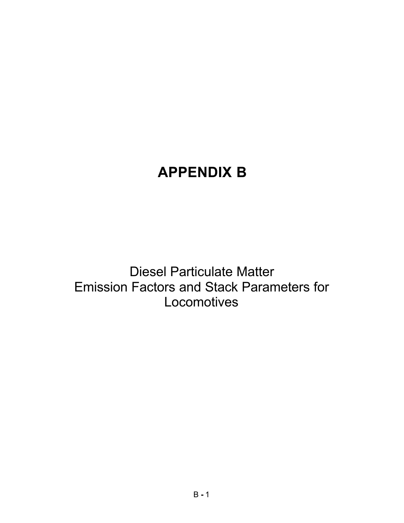# **APPENDIX B**

Diesel Particulate Matter Emission Factors and Stack Parameters for **Locomotives**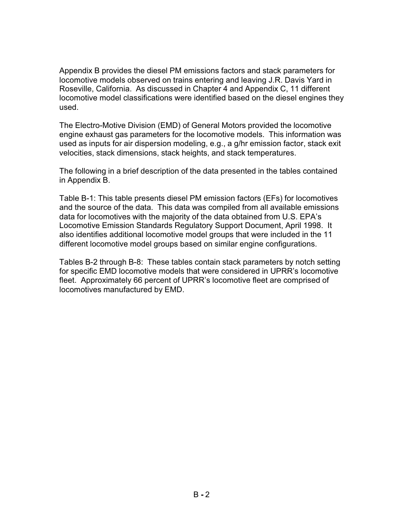Appendix B provides the diesel PM emissions factors and stack parameters for locomotive models observed on trains entering and leaving J.R. Davis Yard in Roseville, California. As discussed in Chapter 4 and Appendix C, 11 different locomotive model classifications were identified based on the diesel engines they used.

The Electro-Motive Division (EMD) of General Motors provided the locomotive engine exhaust gas parameters for the locomotive models. This information was used as inputs for air dispersion modeling, e.g., a g/hr emission factor, stack exit velocities, stack dimensions, stack heights, and stack temperatures.

The following in a brief description of the data presented in the tables contained in Appendix B.

Table B-1: This table presents diesel PM emission factors (EFs) for locomotives and the source of the data. This data was compiled from all available emissions data for locomotives with the majority of the data obtained from U.S. EPA's Locomotive Emission Standards Regulatory Support Document, April 1998. It also identifies additional locomotive model groups that were included in the 11 different locomotive model groups based on similar engine configurations.

Tables B-2 through B-8: These tables contain stack parameters by notch setting for specific EMD locomotive models that were considered in UPRR's locomotive fleet. Approximately 66 percent of UPRR's locomotive fleet are comprised of locomotives manufactured by EMD.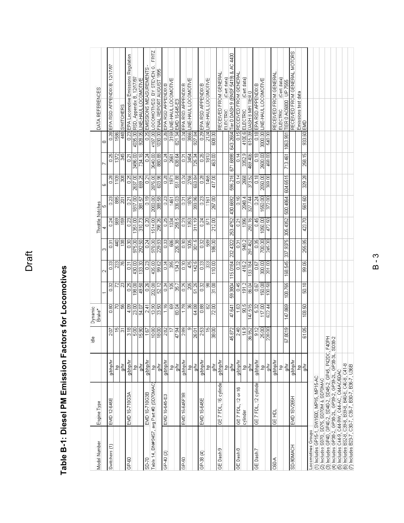| Model Number       | Engine Type                                                                                                   |          | de<br>E       | Dynamic<br>Brake <sup>*</sup> |                |                   |                   | Throttle Notches |                  |                 |          |          | DATA REFERENCES                              |
|--------------------|---------------------------------------------------------------------------------------------------------------|----------|---------------|-------------------------------|----------------|-------------------|-------------------|------------------|------------------|-----------------|----------|----------|----------------------------------------------|
|                    |                                                                                                               |          |               |                               |                |                   | m                 | च                |                  | ω               |          | œ        |                                              |
| Switchers (1)      | EMD 12-645E                                                                                                   | g/bhp/hr | 2.07          | 0.80                          | 0.32           | 0.33              | 0.31              | 0.24             | 0.23             | 0.28            | 0.25     | 0.28     | EPA RSD APPENDIX B. 12/17/97                 |
|                    |                                                                                                               | 윤        | $\frac{5}{1}$ | 12                            |                | 233               | 440               | 669              | 885              | 1109            | 1372     | 1586     |                                              |
|                    |                                                                                                               | ąΛτ      | 7             | $\overline{5}$                | 13             | 76                | 138               | 159              | $\overline{201}$ | $\frac{8}{300}$ | 345      |          | 448 SWITCHERS                                |
| GP-60              | EMD 16-710G3A                                                                                                 | g/bhp/hr | 3.18          | 4.09                          | 0.25           | $\overline{0.31}$ | 8.0               | 0.23             | 0.21             | 0.25            | 0.21     |          | 0.23 EPA Locomotive Emissions Regulation     |
|                    |                                                                                                               | 육        | 5.00          | 23.00                         | 198.00         | 430.00            | 975.00            | 1351.00          | 1817.00          | 2637.00         | 3496.00  |          | 4035.00 RSD, Appendix B, 12/17/97            |
|                    |                                                                                                               | o/hr     | 15.90         | 94.07                         | 49.50          | 133.30            | 292.50            | 310.73           | 381.57           | 659.25          | 734.16   |          | 328.05 LINE-HAUL LOCOMOTIVE                  |
| SD-70              | EMD 16-710G3B                                                                                                 | a/bhp/hr | 1.67          | 2.41                          | 0.26           | 0.23              | 0.24              | 0.20             | 0.19             | 0.21            | 0.24     |          | 0.25 EMISSIONS MEASUREMENTS -                |
|                    | Table 14, BN#9457, avg Part #3 (SD7DMAC)                                                                      | ۵q       | 10.80         | 13.90                         | 202.00         | 435.00            | 978.00            | 1514.00          | 2003.00          | 2876.00         | 3640.00  |          | FRITZ<br>4187.00 LOCOMOTIVES BY STEVEN G.    |
|                    |                                                                                                               | ąΛη      | 18.00         | 33.50                         | 52.12          | 99.62             | 229.83            | 298.26           | 388.58           | 603.96          | 880.88   |          | 1030.00 FINAL REPORT AUGUST 1995             |
| Q<br>$GP-40$       | EMD 16-645-E3                                                                                                 | g/bhp/hr | 2.82          | 1.16                          | 0.34           | 0.34              | 0.33              | 0.25             | 0.23             | 0.28            | 0.24     |          | 0.26 EPA RSD APPENDIX B                      |
|                    |                                                                                                               | 윧        | Ħ             | œ,                            | 105            | 395               | 88                | 1034             | 1461             | 1971            | 2661     |          | 3159 LINE-HAUL LOCOMOTIVE                    |
|                    |                                                                                                               | g/hr     | 47.94         | 80.04                         | 35.7           | 134.3             | 226.38            | 258.5            | 336.03           | 551.88          | 638.64   |          | 821.34 EMD 16-645-E3                         |
| GP-50              | EMD 16-645F3B                                                                                                 | g/bhp/hr | 2.89          | 1.78                          | 0.25           | 0.30              | 0.30              | 0.23             | 0.21             | 0.24            | 0.21     |          | 0.24 EPA RSD APPENDIX B                      |
|                    |                                                                                                               | 9q       | ာ             | B                             | 215            | 475               | 1005              | 1353             | 1876             | 2766            | 3454     |          | 3966 LINE-HAUL LOCOMOTIVE                    |
|                    |                                                                                                               | g/hr     | 26.01         | 64.08                         | 51.25          | 142.5             | 301.5             | 311.19           | 393.96           | 663.84          | 725.34   | 927.84   |                                              |
| GP-38 (4)          | EMD 16-645E                                                                                                   | g/bhp/hr | 2.53          | 0.88                          | $\frac{32}{2}$ | 83                | 0.32              | 0.24             | 0.23             | 0.28            | 0.26     |          | 0.29 EPA RSD APPENDIX B                      |
|                    |                                                                                                               | 육        | 15            | 8                             | 8              | SS <sub>3</sub>   | 589               | 671              | 1161             | 1465            | 1810     |          | 2124 LINE-HAUL LOCOMOTIVE                    |
|                    |                                                                                                               | g/hr     | 38.00         | 72.00                         | 31.00          | 110.00            | 186.00            | 212.00           | 267.00           | 417.00          | 463.00   | 608.00   |                                              |
| GE Dash 9          | GE 7 FDL, 16 cylinde                                                                                          | a/bhp/hr |               |                               |                |                   |                   |                  |                  |                 |          |          | RECEIVED FROM GENERAL                        |
|                    |                                                                                                               | 윤        |               |                               |                |                   |                   |                  |                  |                 |          |          | (Cert data)<br>ELECTRIC                      |
|                    |                                                                                                               | g/hr     | 45.872        | 47.641                        | 59,3804        | 115.0184          | 232.4322          | 253.4752         | 430.6692         | 596.216         | 671.6898 |          | 643.2664 Tier 0 DASH 9 (BNSF 5419) & AC 4400 |
| GE Dash 8          | GE 7 FDL, 12 or 16                                                                                            | g/bhp/hr | 2.48          | 1.63                          | 0.45           | 0.32              | $\overline{0.31}$ | 50               | 0.16             | 0.14            | 0.14     |          | 0.15 RECEIVED FROM GENERA                    |
|                    | cylinder                                                                                                      | 윤        | 14.9          | 90.5                          | 191.2          | 416.2             | 940.2             | 1396             | 2048.4           | 2668            | 3352.9   |          | (Cert data)<br>4100.6 ELECTRIC               |
|                    |                                                                                                               | g/hr     | 36,952        | 147.515                       | 86.04          | 33,184            | 291.462           | 293.16           | 327.744          | 373.52          | 469,406  |          | 615.09 DASH 8 MFITIER 0                      |
| GE Dash 7          | GE 7 FDL, 12 cylinde                                                                                          | g/bhp/hr | 9.12          | 5.32                          | 0.67           | 0.67              | 0.35              | 0.45             | 0.24             | 0.18            | 0.18     |          | 0.18 EPA RSD APPENDIX B                      |
|                    |                                                                                                               | 윤        | 25.00         | 117.00                        | 150.00         | 300.00            | 700.00            | 1050.00          | 1550.00          | 2050.00         | 2600.00  |          | 3000.00 LINE-HAUL LOCOMOTIVE                 |
|                    |                                                                                                               | g/hr     | 228.00        | 622.44                        | 100.50         | 201.00            | 245.00            | 472.50           | 372.00           | 369.00          | 468.00   | 540.00   |                                              |
| C60-A              | GE HDL                                                                                                        | g/bhp/hr |               |                               |                |                   |                   |                  |                  |                 |          |          | RECEIVED FROM GENERAL                        |
|                    |                                                                                                               | 육        |               |                               |                |                   |                   |                  |                  |                 |          |          | (Cert data)<br>ELECTRIC                      |
|                    |                                                                                                               | ξ        | 67.8019       | 147.869                       | 108.765        | 168.545           | 337.9375          | 305.4352         | 500,4864         | 604.6515        | 713.461  | 1063.981 | TIER 0 AC6000 UP 7555                        |
| SD-90MACH          | EMD 16V265H                                                                                                   | g/bhp/hr |               |                               |                |                   |                   |                  |                  |                 |          |          | RECEIVED FROM GENERAL MOTORS                 |
|                    |                                                                                                               | 윤        |               |                               |                |                   |                   |                  |                  |                 |          |          | Emissions test data                          |
|                    |                                                                                                               | g/hr     | 61.05         | 108.50                        | 50.10          | 99.06             | 255.85            | 423.70           | 561.60           | 329.28          | 258.15   | 933.60   | EMD                                          |
| Locomotives Groups |                                                                                                               |          |               |                               |                |                   |                   |                  |                  |                 |          |          |                                              |
|                    | (1) Includes GP15-1, SW1500, MP15, MP15-AC                                                                    |          |               |                               |                |                   |                   |                  |                  |                 |          |          |                                              |
|                    | (2) Includes SD70, SD75, SD70M & SD70MAC                                                                      |          |               |                               |                |                   |                   |                  |                  |                 |          |          |                                              |
|                    | (3) Includes GP40, GP40-2, SD40-2, SD45-2, GP45, P42DC, F40PH                                                 |          |               |                               |                |                   |                   |                  |                  |                 |          |          |                                              |
|                    | (4) Includes GP38-2, GP38-2L, GP39-2, GP39-2L, GP38-3L, SD38-2                                                |          |               |                               |                |                   |                   |                  |                  |                 |          |          |                                              |
|                    | (5) Includes C44-9, C44-9W, C44-AC, C44AC/60AC                                                                |          |               |                               |                |                   |                   |                  |                  |                 |          |          |                                              |
|                    | (6) Includes B32-8, C39-8, B39-8, B40-8, C40-8, C41-8<br>(7) Includes B23-7, C30-7, C36-7, B30-7, B36-7, U36B |          |               |                               |                |                   |                   |                  |                  |                 |          |          |                                              |
|                    |                                                                                                               |          |               |                               |                |                   |                   |                  |                  |                 |          |          |                                              |

# Table B-1: Diesel PM Emission Factors for Locomotives **Table B-1: Diesel PM Emission Factors for Locomotives**

Draft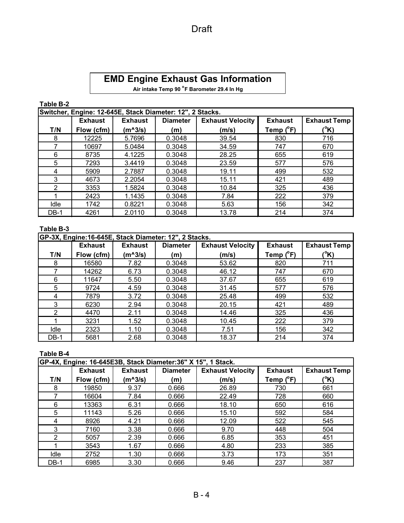# **EMD Engine Exhaust Gas Information**

**Air intake Temp 90 <sup>o</sup> F Barometer 29.4 In Hg**

### **Table B-2**

|             |                | Switcher, Engine: 12-645E, Stack Diameter: 12", 2 Stacks. |                 |                         |                    |                     |
|-------------|----------------|-----------------------------------------------------------|-----------------|-------------------------|--------------------|---------------------|
|             | <b>Exhaust</b> | <b>Exhaust</b>                                            | <b>Diameter</b> | <b>Exhaust Velocity</b> | <b>Exhaust</b>     | <b>Exhaust Temp</b> |
| T/N         | Flow (cfm)     | $(m^2/5)$                                                 | (m)             | (m/s)                   | Temp $(^{\circ}F)$ | (°K)                |
| 8           | 12225          | 5.7696                                                    | 0.3048          | 39.54                   | 830                | 716                 |
| 7           | 10697          | 5.0484                                                    | 0.3048          | 34.59                   | 747                | 670                 |
| 6           | 8735           | 4.1225                                                    | 0.3048          | 28.25                   | 655                | 619                 |
| 5           | 7293           | 3.4419                                                    | 0.3048          | 23.59                   | 577                | 576                 |
| 4           | 5909           | 2.7887                                                    | 0.3048          | 19.11                   | 499                | 532                 |
| 3           | 4673           | 2.2054                                                    | 0.3048          | 15.11                   | 421                | 489                 |
| 2           | 3353           | 1.5824                                                    | 0.3048          | 10.84                   | 325                | 436                 |
|             | 2423           | 1.1435                                                    | 0.3048          | 7.84                    | 222                | 379                 |
| Idle        | 1742           | 0.8221                                                    | 0.3048          | 5.63                    | 156                | 342                 |
| <b>DB-1</b> | 4261           | 2.0110                                                    | 0.3048          | 13.78                   | 214                | 374                 |

# **Table B-3**

|        |                | GP-3X, Engine:16-645E, Stack Diameter: 12", 2 Stacks. |                 |                         |                    |                     |
|--------|----------------|-------------------------------------------------------|-----------------|-------------------------|--------------------|---------------------|
|        | <b>Exhaust</b> | <b>Exhaust</b>                                        | <b>Diameter</b> | <b>Exhaust Velocity</b> | <b>Exhaust</b>     | <b>Exhaust Temp</b> |
| T/N    | Flow (cfm)     | (m^3/s)                                               | (m)             | (m/s)                   | Temp $(^{\circ}F)$ | (°K)                |
| 8      | 16580          | 7.82                                                  | 0.3048          | 53.62                   | 820                | 711                 |
|        | 14262          | 6.73                                                  | 0.3048          | 46.12                   | 747                | 670                 |
| 6      | 11647          | 5.50                                                  | 0.3048          | 37.67                   | 655                | 619                 |
| 5      | 9724           | 4.59                                                  | 0.3048          | 31.45                   | 577                | 576                 |
| 4      | 7879           | 3.72                                                  | 0.3048          | 25.48                   | 499                | 532                 |
| 3      | 6230           | 2.94                                                  | 0.3048          | 20.15                   | 421                | 489                 |
| 2      | 4470           | 2.11                                                  | 0.3048          | 14.46                   | 325                | 436                 |
|        | 3231           | 1.52                                                  | 0.3048          | 10.45                   | 222                | 379                 |
| Idle   | 2323           | 1.10                                                  | 0.3048          | 7.51                    | 156                | 342                 |
| $DB-1$ | 5681           | 2.68                                                  | 0.3048          | 18.37                   | 214                | 374                 |

# **Table B-4**

|             |                | GP-4X, Engine: 16-645E3B, Stack Diameter:36" X 15", 1 Stack. |                 |                         |                    |                     |
|-------------|----------------|--------------------------------------------------------------|-----------------|-------------------------|--------------------|---------------------|
|             | <b>Exhaust</b> | <b>Exhaust</b>                                               | <b>Diameter</b> | <b>Exhaust Velocity</b> | <b>Exhaust</b>     | <b>Exhaust Temp</b> |
| T/N         | Flow (cfm)     | (m^3/s)                                                      | (m)             | (m/s)                   | Temp $(^{\circ}F)$ | (°K)                |
| 8           | 19850          | 9.37                                                         | 0.666           | 26.89                   | 730                | 661                 |
|             | 16604          | 7.84                                                         | 0.666           | 22.49                   | 728                | 660                 |
| 6           | 13363          | 6.31                                                         | 0.666           | 18.10                   | 650                | 616                 |
| 5           | 11143          | 5.26                                                         | 0.666           | 15.10                   | 592                | 584                 |
| 4           | 8926           | 4.21                                                         | 0.666           | 12.09                   | 522                | 545                 |
| 3           | 7160           | 3.38                                                         | 0.666           | 9.70                    | 448                | 504                 |
| 2           | 5057           | 2.39                                                         | 0.666           | 6.85                    | 353                | 451                 |
|             | 3543           | 1.67                                                         | 0.666           | 4.80                    | 233                | 385                 |
| Idle        | 2752           | 1.30                                                         | 0.666           | 3.73                    | 173                | 351                 |
| <b>DB-1</b> | 6985           | 3.30                                                         | 0.666           | 9.46                    | 237                | 387                 |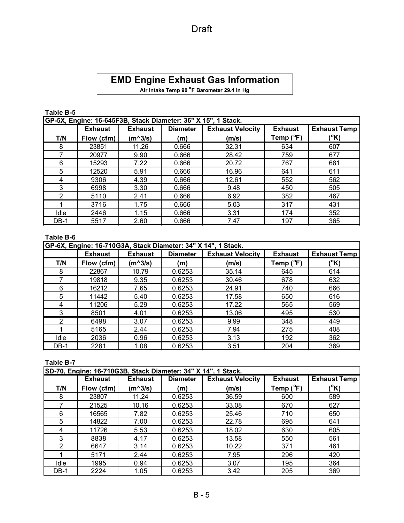# Draft

# **EMD Engine Exhaust Gas Information**

**Air intake Temp 90 <sup>o</sup> F Barometer 29.4 In Hg**

### **Table B-5**

|               |                | GP-5X, Engine: 16-645F3B, Stack Diameter: 36" X 15", 1 Stack. |                 |                         |                    |                     |
|---------------|----------------|---------------------------------------------------------------|-----------------|-------------------------|--------------------|---------------------|
|               | <b>Exhaust</b> | <b>Exhaust</b>                                                | <b>Diameter</b> | <b>Exhaust Velocity</b> | <b>Exhaust</b>     | <b>Exhaust Temp</b> |
| T/N           | Flow (cfm)     | $(m^3/s)$                                                     | (m)             | (m/s)                   | Temp $(^{\circ}F)$ | (°K)                |
| 8             | 23851          | 11.26                                                         | 0.666           | 32.31                   | 634                | 607                 |
| 7             | 20977          | 9.90                                                          | 0.666           | 28.42                   | 759                | 677                 |
| 6             | 15293          | 7.22                                                          | 0.666           | 20.72                   | 767                | 681                 |
| 5             | 12520          | 5.91                                                          | 0.666           | 16.96                   | 641                | 611                 |
| 4             | 9306           | 4.39                                                          | 0.666           | 12.61                   | 552                | 562                 |
| 3             | 6998           | 3.30                                                          | 0.666           | 9.48                    | 450                | 505                 |
| $\mathcal{P}$ | 5110           | 2.41                                                          | 0.666           | 6.92                    | 382                | 467                 |
|               | 3716           | 1.75                                                          | 0.666           | 5.03                    | 317                | 431                 |
| Idle          | 2446           | 1.15                                                          | 0.666           | 3.31                    | 174                | 352                 |
| $DB-1$        | 5517           | 2.60                                                          | 0.666           | 7.47                    | 197                | 365                 |

### **Table B-6**

|      |                |                |                 | GP-6X, Engine: 16-710G3A, Stack Diameter: 34" X 14", 1 Stack. |                    |                     |
|------|----------------|----------------|-----------------|---------------------------------------------------------------|--------------------|---------------------|
|      | <b>Exhaust</b> | <b>Exhaust</b> | <b>Diameter</b> | <b>Exhaust Velocity</b>                                       | <b>Exhaust</b>     | <b>Exhaust Temp</b> |
| T/N  | Flow (cfm)     | $(m^2/3)$      | (m)             | (m/s)                                                         | Temp $(^{\circ}F)$ | (°K)                |
| 8    | 22867          | 10.79          | 0.6253          | 35.14                                                         | 645                | 614                 |
|      | 19818          | 9.35           | 0.6253          | 30.46                                                         | 678                | 632                 |
| 6    | 16212          | 7.65           | 0.6253          | 24.91                                                         | 740                | 666                 |
| 5    | 11442          | 5.40           | 0.6253          | 17.58                                                         | 650                | 616                 |
| 4    | 11206          | 5.29           | 0.6253          | 17.22                                                         | 565                | 569                 |
| 3    | 8501           | 4.01           | 0.6253          | 13.06                                                         | 495                | 530                 |
| 2    | 6498           | 3.07           | 0.6253          | 9.99                                                          | 348                | 449                 |
|      | 5165           | 2.44           | 0.6253          | 7.94                                                          | 275                | 408                 |
| Idle | 2036           | 0.96           | 0.6253          | 3.13                                                          | 192                | 362                 |
| DB-1 | 2281           | 1.08           | 0.6253          | 3.51                                                          | 204                | 369                 |

### **Table B-7**

|        | SD-70, Engine: 16-710G3B, Stack Diameter: 34" X 14", 1 Stack. |                |                 |                         |                    |                     |  |  |  |  |
|--------|---------------------------------------------------------------|----------------|-----------------|-------------------------|--------------------|---------------------|--|--|--|--|
|        | <b>Exhaust</b>                                                | <b>Exhaust</b> | <b>Diameter</b> | <b>Exhaust Velocity</b> | <b>Exhaust</b>     | <b>Exhaust Temp</b> |  |  |  |  |
| T/N    | Flow (cfm)                                                    | $(m^2/3)$      | (m)             | (m/s)                   | Temp $(^{\circ}F)$ | (°K)                |  |  |  |  |
| 8      | 23807                                                         | 11.24          | 0.6253          | 36.59                   | 600                | 589                 |  |  |  |  |
|        | 21525                                                         | 10.16          | 0.6253          | 33.08                   | 670                | 627                 |  |  |  |  |
| 6      | 16565                                                         | 7.82           | 0.6253          | 25.46                   | 710                | 650                 |  |  |  |  |
| 5      | 14822                                                         | 7.00           | 0.6253          | 22.78                   | 695                | 641                 |  |  |  |  |
| 4      | 11726                                                         | 5.53           | 0.6253          | 18.02                   | 630                | 605                 |  |  |  |  |
| 3      | 8838                                                          | 4.17           | 0.6253          | 13.58                   | 550                | 561                 |  |  |  |  |
| 2      | 6647                                                          | 3.14           | 0.6253          | 10.22                   | 371                | 461                 |  |  |  |  |
|        | 5171                                                          | 2.44           | 0.6253          | 7.95                    | 296                | 420                 |  |  |  |  |
| Idle   | 1995                                                          | 0.94           | 0.6253          | 3.07                    | 195                | 364                 |  |  |  |  |
| $DB-1$ | 2224                                                          | 1.05           | 0.6253          | 3.42                    | 205                | 369                 |  |  |  |  |